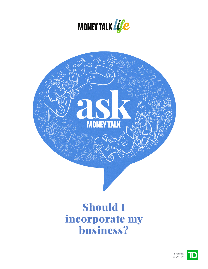



## Should I incorporate my business?

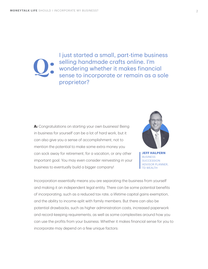I just started a small, part-time business selling handmade crafts online. I'm wondering whether it makes financial sense to incorporate or remain as a sole proprietor?

**A:** Congratulations on starting your own business! Being in business for yourself can be a lot of hard work, but it can also give you a sense of accomplishment, not to mention the potential to make some extra money you can sock away for retirement, for a vacation, or any other important goal. You may even consider reinvesting in your business to eventually build a bigger company!



**JEFF HALPERN** BUSINESS **CESSION** ADVISOR PLANNER, TD WEALTH

Incorporation essentially means you are separating the business from yourself and making it an independent legal entity. There can be some potential benefits of incorporating, such as a reduced tax rate, a lifetime capital gains exemption, and the ability to income-split with family members. But there can also be potential drawbacks, such as higher administration costs, increased paperwork and record-keeping requirements, as well as some complexities around how you can use the profits from your business. Whether it makes financial sense for you to incorporate may depend on a few unique factors: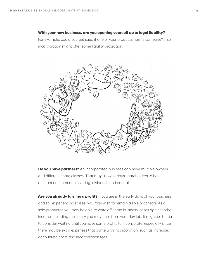## **With your new business, are you opening yourself up to legal liability?**

For example, could you get sued if one of your products harms someone? If so, incorporation might offer some liability protection.



**Do you have partners?** An incorporated business can have multiple owners and different share classes. That may allow various shareholders to have different entitlements to voting, dividends and capital.

**Are you already turning a profit?** If you are in the early days of your business and still experiencing losses, you may wish to remain a sole proprietor. As a sole proprietor, you may be able to write off some business losses against other income, including the salary you may earn from your day job. It might be better to consider waiting until you have some profits to incorporate, especially since there may be extra expenses that come with incorporation, such as increased accounting costs and incorporation fees.